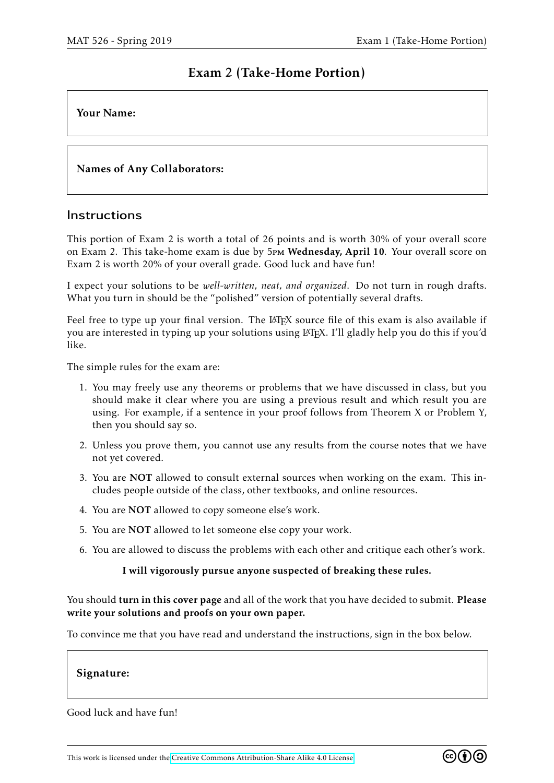# Exam 2 (Take-Home Portion)

## Your Name:

# Names of Any Collaborators:

### **Instructions**

This portion of Exam 2 is worth a total of 26 points and is worth 30% of your overall score on Exam 2. This take-home exam is due by 5pm Wednesday, April 10. Your overall score on Exam 2 is worth 20% of your overall grade. Good luck and have fun!

I expect your solutions to be *well-written, neat, and organized*. Do not turn in rough drafts. What you turn in should be the "polished" version of potentially several drafts.

Feel free to type up your final version. The LAT<sub>EX</sub> source file of this exam is also available if you are interested in typing up your solutions using LATEX. I'll gladly help you do this if you'd like.

The simple rules for the exam are:

- 1. You may freely use any theorems or problems that we have discussed in class, but you should make it clear where you are using a previous result and which result you are using. For example, if a sentence in your proof follows from Theorem X or Problem Y, then you should say so.
- 2. Unless you prove them, you cannot use any results from the course notes that we have not yet covered.
- 3. You are NOT allowed to consult external sources when working on the exam. This includes people outside of the class, other textbooks, and online resources.
- 4. You are NOT allowed to copy someone else's work.
- 5. You are NOT allowed to let someone else copy your work.
- 6. You are allowed to discuss the problems with each other and critique each other's work.

#### I will vigorously pursue anyone suspected of breaking these rules.

You should turn in this cover page and all of the work that you have decided to submit. Please write your solutions and proofs on your own paper.

To convince me that you have read and understand the instructions, sign in the box below.

#### Signature:

Good luck and have fun!

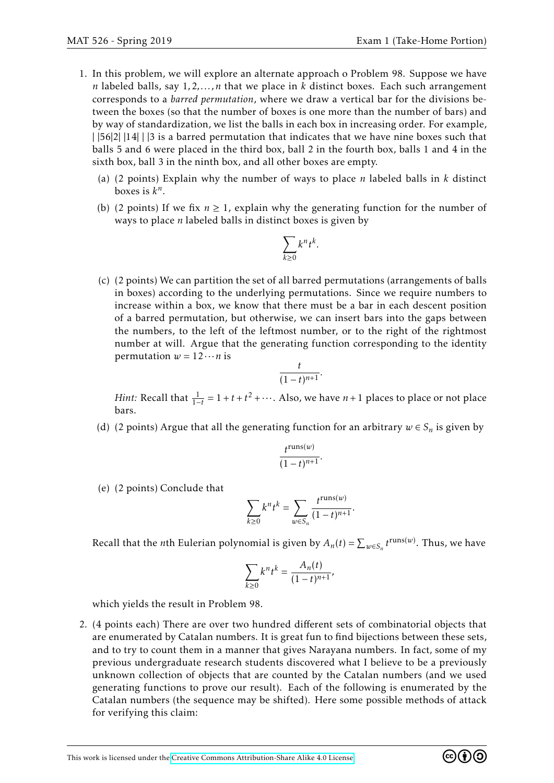- 1. In this problem, we will explore an alternate approach o Problem 98. Suppose we have *n* labeled balls, say 1*,*2*,...,n* that we place in *k* distinct boxes. Each such arrangement corresponds to a *barred permutation*, where we draw a vertical bar for the divisions between the boxes (so that the number of boxes is one more than the number of bars) and by way of standardization, we list the balls in each box in increasing order. For example, |  $|56|2|$  |14| | |3 is a barred permutation that indicates that we have nine boxes such that balls 5 and 6 were placed in the third box, ball 2 in the fourth box, balls 1 and 4 in the sixth box, ball 3 in the ninth box, and all other boxes are empty.
	- (a) (2 points) Explain why the number of ways to place *n* labeled balls in *k* distinct boxes is  $k^n$ .
	- (b) (2 points) If we fix  $n \ge 1$ , explain why the generating function for the number of ways to place *n* labeled balls in distinct boxes is given by

$$
\sum_{k\geq 0} k^n t^k.
$$

(c) (2 points) We can partition the set of all barred permutations (arrangements of balls in boxes) according to the underlying permutations. Since we require numbers to increase within a box, we know that there must be a bar in each descent position of a barred permutation, but otherwise, we can insert bars into the gaps between the numbers, to the left of the leftmost number, or to the right of the rightmost number at will. Argue that the generating function corresponding to the identity permutation  $w = 12 \cdots n$  is

$$
\frac{t}{(1-t)^{n+1}}.
$$

*Hint*: Recall that  $\frac{1}{1-t} = 1 + t + t^2 + \cdots$ . Also, we have *n* + 1 places to place or not place bars.

(d) (2 points) Argue that all the generating function for an arbitrary  $w \in S_n$  is given by

$$
\frac{t^{\operatorname{runs}(w)}}{(1-t)^{n+1}}.
$$

(e) (2 points) Conclude that

$$
\sum_{k\geq 0} k^n t^k = \sum_{w \in S_n} \frac{t^{\text{runs}(w)}}{(1-t)^{n+1}}.
$$

Recall that the *n*th Eulerian polynomial is given by  $A_n(t) = \sum_{w \in S_n} t^{\text{runs}(w)}$ . Thus, we have

$$
\sum_{k\geq 0} k^n t^k = \frac{A_n(t)}{(1-t)^{n+1}},
$$

which yields the result in Problem 98.

2. (4 points each) There are over two hundred different sets of combinatorial objects that are enumerated by Catalan numbers. It is great fun to find bijections between these sets, and to try to count them in a manner that gives Narayana numbers. In fact, some of my previous undergraduate research students discovered what I believe to be a previously unknown collection of objects that are counted by the Catalan numbers (and we used generating functions to prove our result). Each of the following is enumerated by the Catalan numbers (the sequence may be shifted). Here some possible methods of attack for verifying this claim:

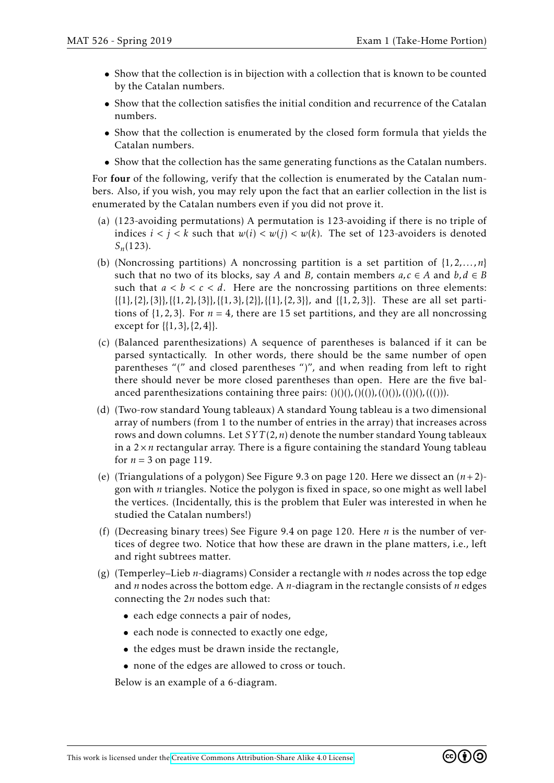- Show that the collection is in bijection with a collection that is known to be counted by the Catalan numbers.
- Show that the collection satisfies the initial condition and recurrence of the Catalan numbers.
- Show that the collection is enumerated by the closed form formula that yields the Catalan numbers.
- Show that the collection has the same generating functions as the Catalan numbers.

For four of the following, verify that the collection is enumerated by the Catalan numbers. Also, if you wish, you may rely upon the fact that an earlier collection in the list is enumerated by the Catalan numbers even if you did not prove it.

- (a) (123-avoiding permutations) A permutation is 123-avoiding if there is no triple of indices  $i < j < k$  such that  $w(i) < w(j) < w(k)$ . The set of 123-avoiders is denoted *Sn*(123).
- (b) (Noncrossing partitions) A noncrossing partition is a set partition of {1*,*2*,...,n*} such that no two of its blocks, say *A* and *B*, contain members  $a, c \in A$  and  $b, d \in B$ such that  $a < b < c < d$ . Here are the noncrossing partitions on three elements: {{1}*,*{2}*,*{3}}*,*{{1*,*2}*,*{3}}*,*{{1*,*3}*,*{2}}*,*{{1}*,*{2*,*3}}, and {{1*,*2*,*3}}. These are all set partitions of  $\{1, 2, 3\}$ . For  $n = 4$ , there are 15 set partitions, and they are all noncrossing except for {{1*,*3}*,*{2*,*4}}.
- (c) (Balanced parenthesizations) A sequence of parentheses is balanced if it can be parsed syntactically. In other words, there should be the same number of open parentheses "(" and closed parentheses ")", and when reading from left to right there should never be more closed parentheses than open. Here are the five balanced parenthesizations containing three pairs:  $( ) ( ) ( ) , ( ) ( ( ) ), ( ( ) ( ) ), ( ( ) ( ) ), ( ( ( ) ) ).$
- (d) (Two-row standard Young tableaux) A standard Young tableau is a two dimensional array of numbers (from 1 to the number of entries in the array) that increases across rows and down columns. Let *SY T* (2*,n*) denote the number standard Young tableaux in a  $2 \times n$  rectangular array. There is a figure containing the standard Young tableau for  $n = 3$  on page 119.
- (e) (Triangulations of a polygon) See Figure 9.3 on page 120. Here we dissect an (*n*+2) gon with *n* triangles. Notice the polygon is fixed in space, so one might as well label the vertices. (Incidentally, this is the problem that Euler was interested in when he studied the Catalan numbers!)
- (f) (Decreasing binary trees) See Figure 9.4 on page 120. Here *n* is the number of vertices of degree two. Notice that how these are drawn in the plane matters, i.e., left and right subtrees matter.
- (g) (Temperley–Lieb *n*-diagrams) Consider a rectangle with *n* nodes across the top edge and *n* nodes across the bottom edge. A *n*-diagram in the rectangle consists of *n* edges connecting the 2*n* nodes such that:
	- each edge connects a pair of nodes,
	- each node is connected to exactly one edge,
	- the edges must be drawn inside the rectangle,
	- none of the edges are allowed to cross or touch.

Below is an example of a 6-diagram.